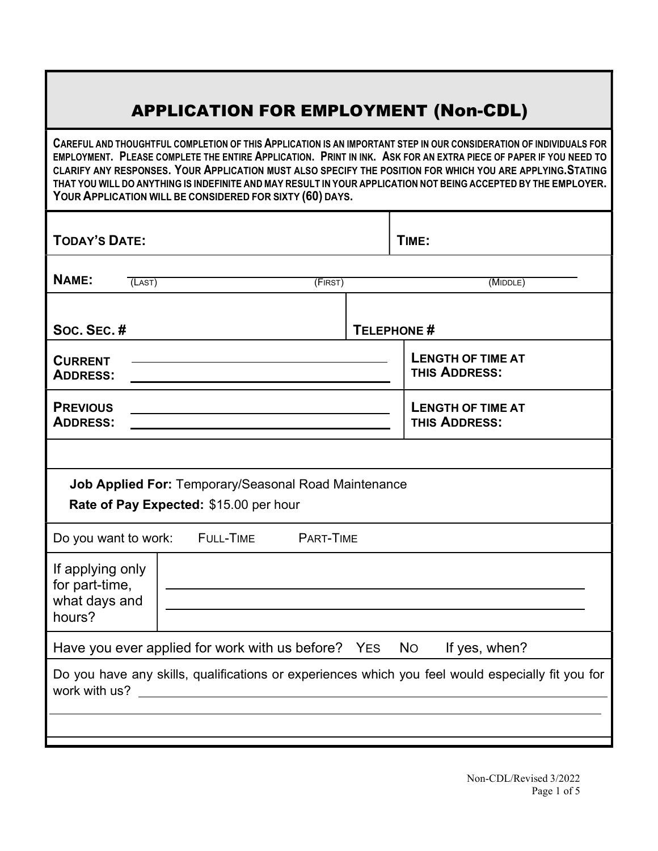## APPLICATION FOR EMPLOYMENT (Non-CDL)

CAREFUL AND THOUGHTFUL COMPLETION OF THIS APPLICATION IS AN IMPORTANT STEP IN OUR CONSIDERATION OF INDIVIDUALS FOR EMPLOYMENT. PLEASE COMPLETE THE ENTIRE APPLICATION. PRINT IN INK. ASK FOR AN EXTRA PIECE OF PAPER IF YOU NEED TO CLARIFY ANY RESPONSES. YOUR APPLICATION MUST ALSO SPECIFY THE POSITION FOR WHICH YOU ARE APPLYING. STATING THAT YOU WILL DO ANYTHING IS INDEFINITE AND MAY RESULT IN YOUR APPLICATION NOT BEING ACCEPTED BY THE EMPLOYER. YOUR APPLICATION WILL BE CONSIDERED FOR SIXTY (60) DAYS.

| <b>TODAY'S DATE:</b>                                                                                               |                   |          | TIME:                                     |  |  |  |  |  |
|--------------------------------------------------------------------------------------------------------------------|-------------------|----------|-------------------------------------------|--|--|--|--|--|
| NAME:                                                                                                              | (LAST)<br>(FIRST) | (MIDDLE) |                                           |  |  |  |  |  |
| Soc. Sec. #                                                                                                        | TELEPHONE #       |          |                                           |  |  |  |  |  |
| <b>CURRENT</b><br><b>ADDRESS:</b>                                                                                  |                   |          | <b>LENGTH OF TIME AT</b><br>THIS ADDRESS: |  |  |  |  |  |
| <b>PREVIOUS</b><br><b>ADDRESS:</b>                                                                                 |                   |          | <b>LENGTH OF TIME AT</b><br>THIS ADDRESS: |  |  |  |  |  |
|                                                                                                                    |                   |          |                                           |  |  |  |  |  |
| Job Applied For: Temporary/Seasonal Road Maintenance<br>Rate of Pay Expected: \$15.00 per hour                     |                   |          |                                           |  |  |  |  |  |
| Do you want to work: FULL-TIME PART-TIME                                                                           |                   |          |                                           |  |  |  |  |  |
| If applying only<br>for part-time,<br>what days and<br>hours?                                                      |                   |          |                                           |  |  |  |  |  |
| Have you ever applied for work with us before? YES<br><b>No</b><br>If yes, when?                                   |                   |          |                                           |  |  |  |  |  |
| Do you have any skills, qualifications or experiences which you feel would especially fit you for<br>work with us? |                   |          |                                           |  |  |  |  |  |
|                                                                                                                    |                   |          |                                           |  |  |  |  |  |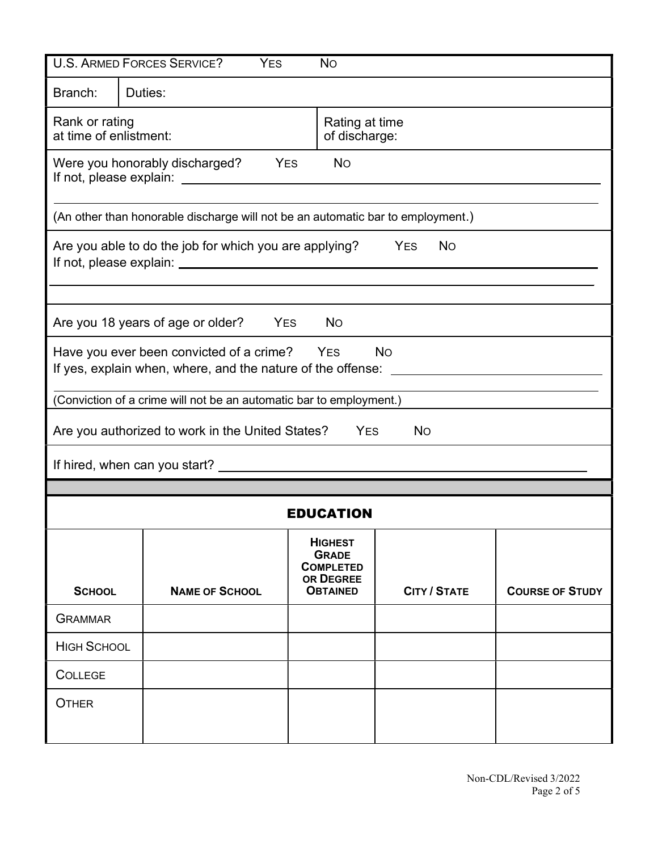| <b>U.S. ARMED FORCES SERVICE?</b><br><b>YES</b><br><b>No</b>                                                                                                                                             |                                                                                   |  |                                                                                    |                     |                        |  |  |  |
|----------------------------------------------------------------------------------------------------------------------------------------------------------------------------------------------------------|-----------------------------------------------------------------------------------|--|------------------------------------------------------------------------------------|---------------------|------------------------|--|--|--|
| Branch:                                                                                                                                                                                                  | Duties:                                                                           |  |                                                                                    |                     |                        |  |  |  |
| Rank or rating<br>at time of enlistment:                                                                                                                                                                 |                                                                                   |  | Rating at time<br>of discharge:                                                    |                     |                        |  |  |  |
|                                                                                                                                                                                                          | <b>No</b><br>Were you honorably discharged?<br><b>SALA</b> YES                    |  |                                                                                    |                     |                        |  |  |  |
|                                                                                                                                                                                                          | (An other than honorable discharge will not be an automatic bar to employment.)   |  |                                                                                    |                     |                        |  |  |  |
|                                                                                                                                                                                                          | Are you able to do the job for which you are applying?<br><b>YES</b><br><b>No</b> |  |                                                                                    |                     |                        |  |  |  |
|                                                                                                                                                                                                          | Are you 18 years of age or older?<br><b>YES</b><br><b>No</b>                      |  |                                                                                    |                     |                        |  |  |  |
| Have you ever been convicted of a crime? YES<br><b>No</b><br>If yes, explain when, where, and the nature of the offense: ________<br>(Conviction of a crime will not be an automatic bar to employment.) |                                                                                   |  |                                                                                    |                     |                        |  |  |  |
| Are you authorized to work in the United States?<br><b>YES</b><br><b>No</b>                                                                                                                              |                                                                                   |  |                                                                                    |                     |                        |  |  |  |
|                                                                                                                                                                                                          |                                                                                   |  |                                                                                    |                     |                        |  |  |  |
|                                                                                                                                                                                                          |                                                                                   |  |                                                                                    |                     |                        |  |  |  |
| <b>EDUCATION</b>                                                                                                                                                                                         |                                                                                   |  |                                                                                    |                     |                        |  |  |  |
| <b>SCHOOL</b>                                                                                                                                                                                            | <b>NAME OF SCHOOL</b>                                                             |  | <b>HIGHEST</b><br><b>GRADE</b><br><b>COMPLETED</b><br>OR DEGREE<br><b>OBTAINED</b> | <b>CITY / STATE</b> | <b>COURSE OF STUDY</b> |  |  |  |
| <b>GRAMMAR</b>                                                                                                                                                                                           |                                                                                   |  |                                                                                    |                     |                        |  |  |  |
| <b>HIGH SCHOOL</b>                                                                                                                                                                                       |                                                                                   |  |                                                                                    |                     |                        |  |  |  |
| <b>COLLEGE</b>                                                                                                                                                                                           |                                                                                   |  |                                                                                    |                     |                        |  |  |  |
| <b>OTHER</b>                                                                                                                                                                                             |                                                                                   |  |                                                                                    |                     |                        |  |  |  |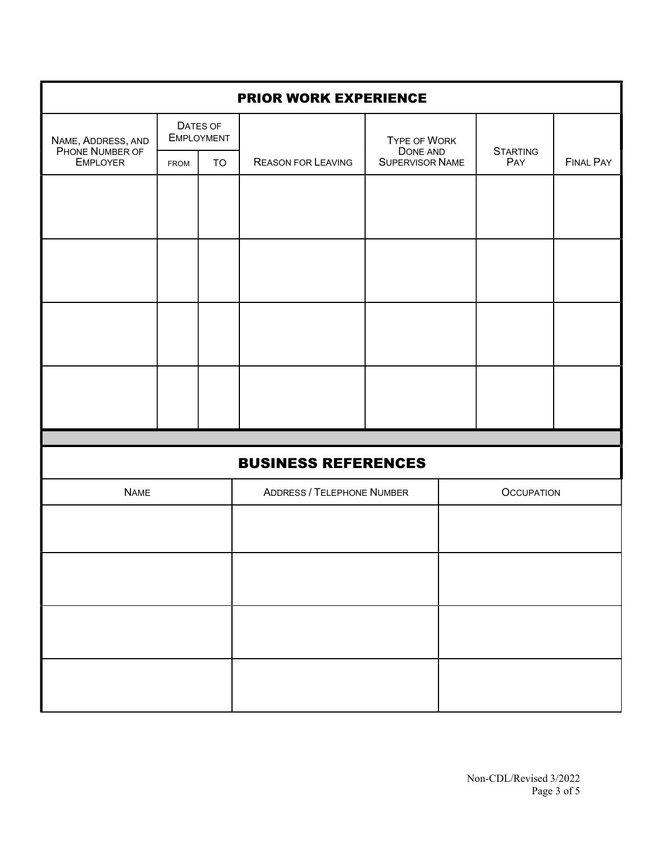| <b>PRIOR WORK EXPERIENCE</b>                             |                               |           |                                   |                             |  |                        |                  |  |  |  |
|----------------------------------------------------------|-------------------------------|-----------|-----------------------------------|-----------------------------|--|------------------------|------------------|--|--|--|
| NAME, ADDRESS, AND<br>PHONE NUMBER OF<br><b>EMPLOYER</b> | DATES OF<br><b>EMPLOYMENT</b> |           |                                   | TYPE OF WORK                |  |                        |                  |  |  |  |
|                                                          | FROM                          | <b>TO</b> | <b>REASON FOR LEAVING</b>         | DONE AND<br>SUPERVISOR NAME |  | <b>STARTING</b><br>PAY | <b>FINAL PAY</b> |  |  |  |
|                                                          |                               |           |                                   |                             |  |                        |                  |  |  |  |
|                                                          |                               |           |                                   |                             |  |                        |                  |  |  |  |
|                                                          |                               |           |                                   |                             |  |                        |                  |  |  |  |
|                                                          |                               |           |                                   |                             |  |                        |                  |  |  |  |
|                                                          |                               |           |                                   |                             |  |                        |                  |  |  |  |
|                                                          |                               |           |                                   |                             |  |                        |                  |  |  |  |
|                                                          |                               |           |                                   |                             |  |                        |                  |  |  |  |
|                                                          |                               |           |                                   |                             |  |                        |                  |  |  |  |
|                                                          |                               |           |                                   |                             |  |                        |                  |  |  |  |
| <b>BUSINESS REFERENCES</b>                               |                               |           |                                   |                             |  |                        |                  |  |  |  |
| <b>NAME</b>                                              |                               |           | <b>ADDRESS / TELEPHONE NUMBER</b> | <b>OCCUPATION</b>           |  |                        |                  |  |  |  |
|                                                          |                               |           |                                   |                             |  |                        |                  |  |  |  |
|                                                          |                               |           |                                   |                             |  |                        |                  |  |  |  |
|                                                          |                               |           |                                   |                             |  |                        |                  |  |  |  |
|                                                          |                               |           |                                   |                             |  |                        |                  |  |  |  |
|                                                          |                               |           |                                   |                             |  |                        |                  |  |  |  |
|                                                          |                               |           |                                   |                             |  |                        |                  |  |  |  |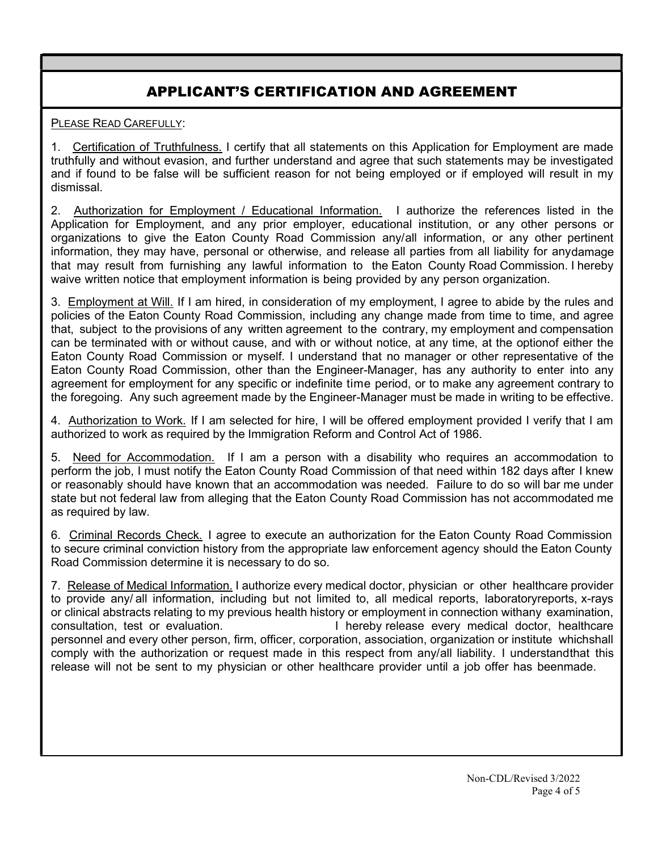## APPLICANT'S CERTIFICATION AND AGREEMENT

PLEASE READ CAREFULLY:

1. Certification of Truthfulness. I certify that all statements on this Application for Employment are made truthfully and without evasion, and further understand and agree that such statements may be investigated and if found to be false will be sufficient reason for not being employed or if employed will result in my dismissal.

2. Authorization for Employment / Educational Information. I authorize the references listed in the Application for Employment, and any prior employer, educational institution, or any other persons or organizations to give the Eaton County Road Commission any/all information, or any other pertinent information, they may have, personal or otherwise, and release all parties from all liability for anydamage that may result from furnishing any lawful information to the Eaton County Road Commission. I hereby waive written notice that employment information is being provided by any person organization.

3. Employment at Will. If I am hired, in consideration of my employment, I agree to abide by the rules and policies of the Eaton County Road Commission, including any change made from time to time, and agree that, subject to the provisions of any written agreement to the contrary, my employment and compensation can be terminated with or without cause, and with or without notice, at any time, at the option of either the Eaton County Road Commission or myself. I understand that no manager or other representative of the Eaton County Road Commission, other than the Engineer-Manager, has any authority to enter into any agreement for employment for any specific or indefinite time period, or to make any agreement contrary to the foregoing. Any such agreement made by the Engineer-Manager must be made in writing to be effective.

4. Authorization to Work. If I am selected for hire, I will be offered employment provided I verify that I am authorized to work as required by the Immigration Reform and Control Act of 1986.

5. Need for Accommodation. If I am a person with a disability who requires an accommodation to perform the job, I must notify the Eaton County Road Commission of that need within 182 days after I knew or reasonably should have known that an accommodation was needed. Failure to do so will bar me under state but not federal law from alleging that the Eaton County Road Commission has not accommodated me as required by law.

6. Criminal Records Check. I agree to execute an authorization for the Eaton County Road Commission to secure criminal conviction history from the appropriate law enforcement agency should the Eaton County Road Commission determine it is necessary to do so.

7. Release of Medical Information. I authorize every medical doctor, physician or other healthcare provider to provide any/ all information, including but not limited to, all medical reports, laboratory reports, x-rays or clinical abstracts relating to my previous health history or employment in connection with any examination, consultation, test or evaluation. Thereby release every medical doctor, healthcare personnel and every other person, firm, officer, corporation, association, organization or institute which shall comply with the authorization or request made in this respect from any/all liability. I understand that this release will not be sent to my physician or other healthcare provider until a job offer has beenmade.